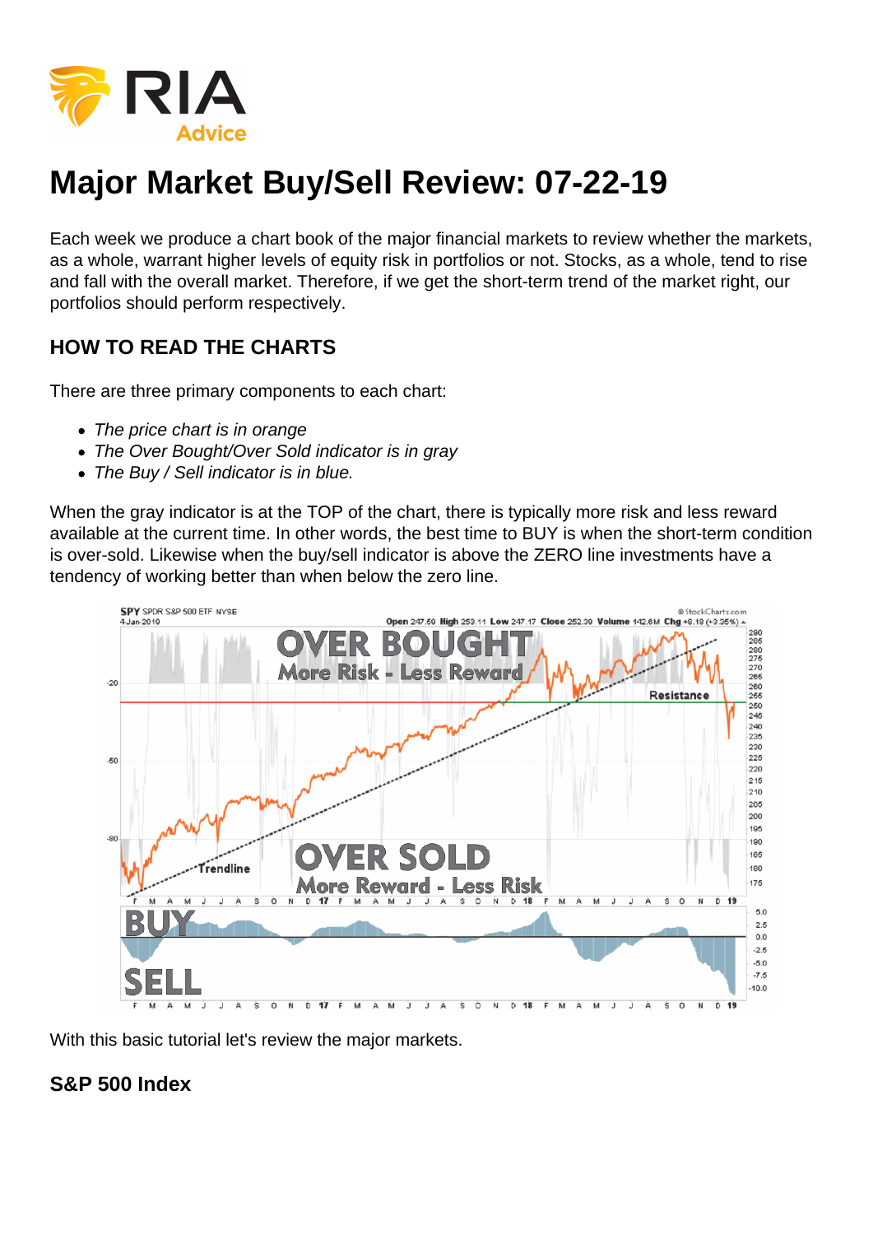

## **Major Market Buy/Sell Review: 07-22-19**

Each week we produce a chart book of the major financial markets to review whether the markets, as a whole, warrant higher levels of equity risk in portfolios or not. Stocks, as a whole, tend to rise and fall with the overall market. Therefore, if we get the short-term trend of the market right, our portfolios should perform respectively.

## **HOW TO READ THE CHARTS**

There are three primary components to each chart:

- The price chart is in orange
- The Over Bought/Over Sold indicator is in gray
- The Buy / Sell indicator is in blue.

When the gray indicator is at the TOP of the chart, there is typically more risk and less reward available at the current time. In other words, the best time to BUY is when the short-term condition is over-sold. Likewise when the buy/sell indicator is above the ZERO line investments have a tendency of working better than when below the zero line.



With this basic tutorial let's review the major markets.

## **S&P 500 Index**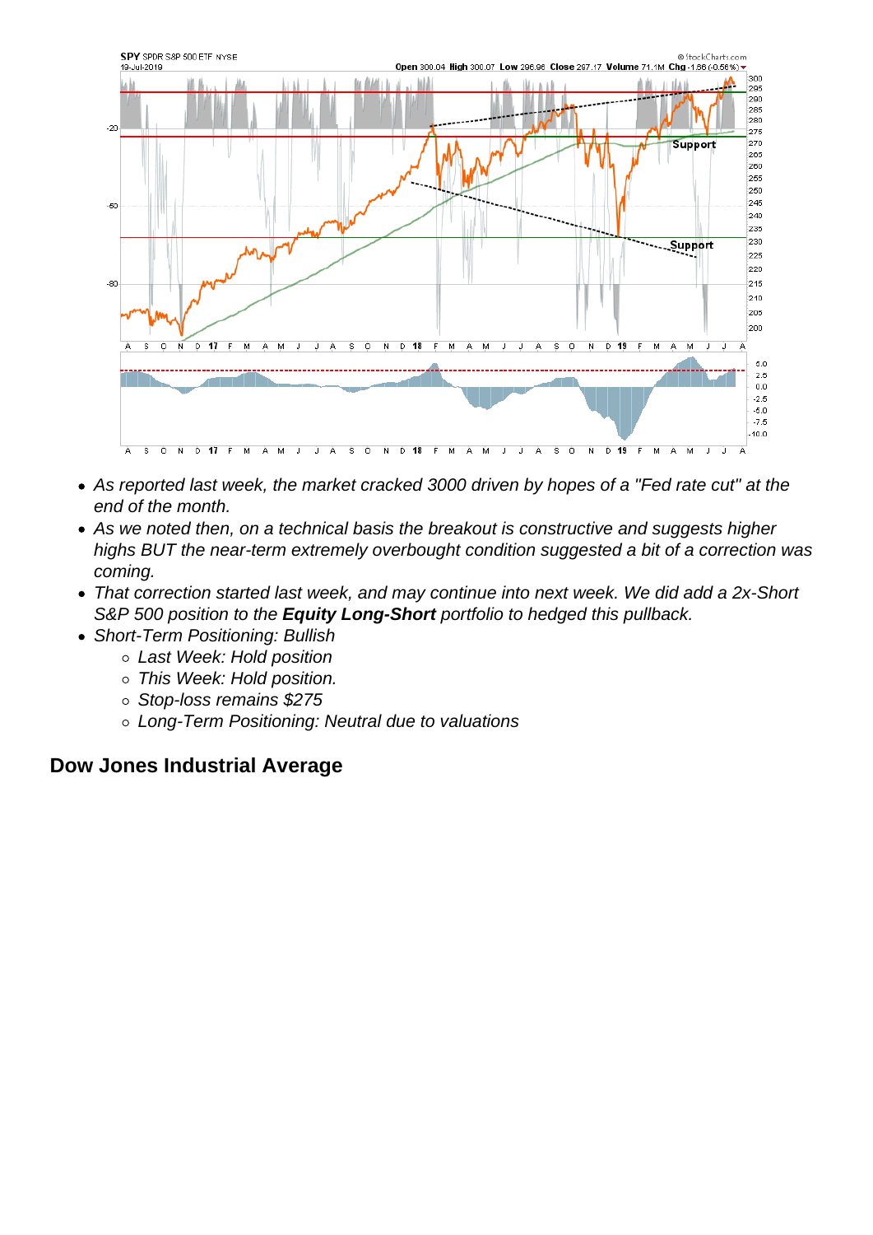- As reported last week, the market cracked 3000 driven by hopes of a "Fed rate cut" at the end of the month.
- As we noted then, on a technical basis the breakout is constructive and suggests higher highs BUT the near-term extremely overbought condition suggested a bit of a correction was coming.
- That correction started last week, and may continue into next week. We did add a 2x-Short S&P 500 position to the Equity Long-Short portfolio to hedged this pullback.
- Short-Term Positioning: Bullish
	- Last Week: Hold position
	- This Week: Hold position.
	- Stop-loss remains \$275
	- Long-Term Positioning: Neutral due to valuations

Dow Jones Industrial Average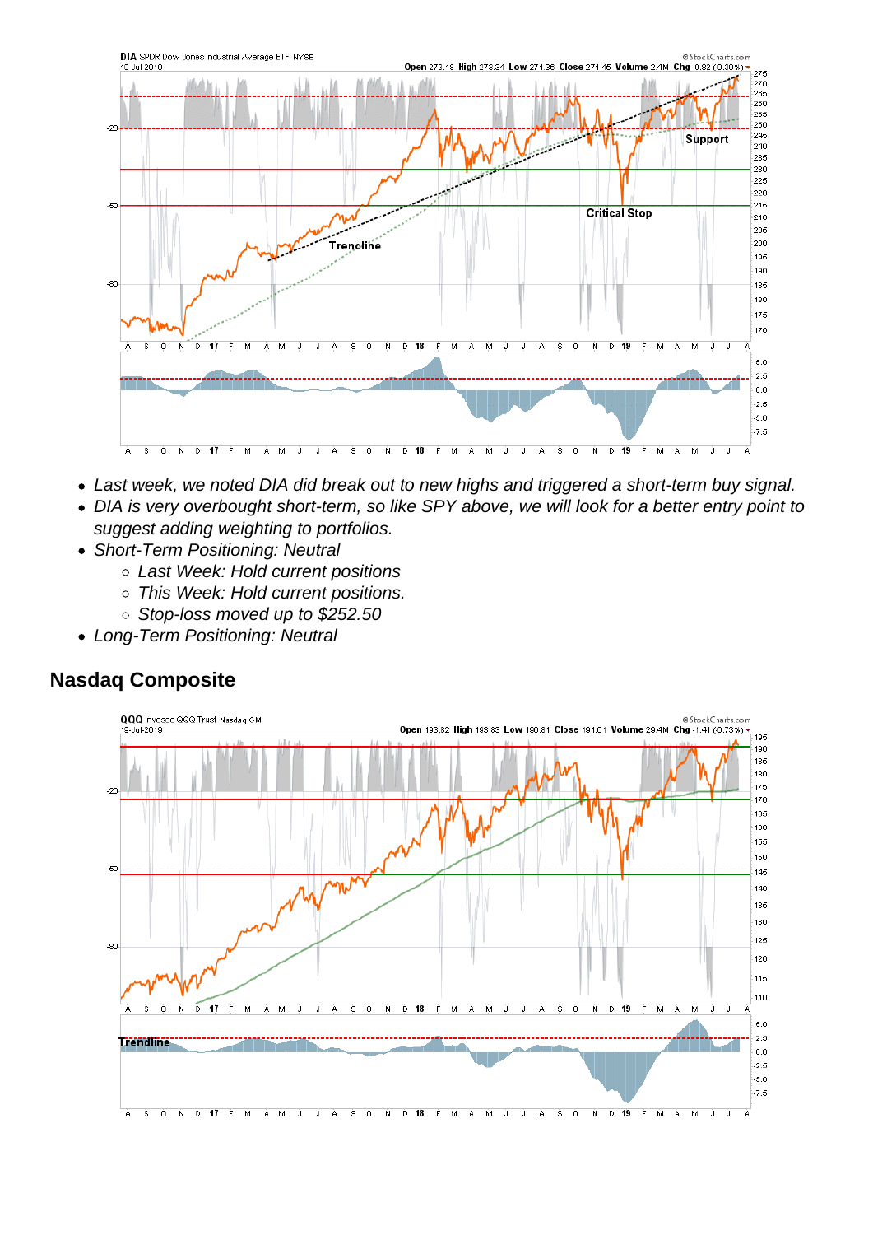- Last week, we noted DIA did break out to new highs and triggered a short-term buy signal.
- DIA is very overbought short-term, so like SPY above, we will look for a better entry point to suggest adding weighting to portfolios.
- Short-Term Positioning: Neutral
	- Last Week: Hold current positions
	- o This Week: Hold current positions.
	- Stop-loss moved up to \$252.50
- Long-Term Positioning: Neutral

Nasdaq Composite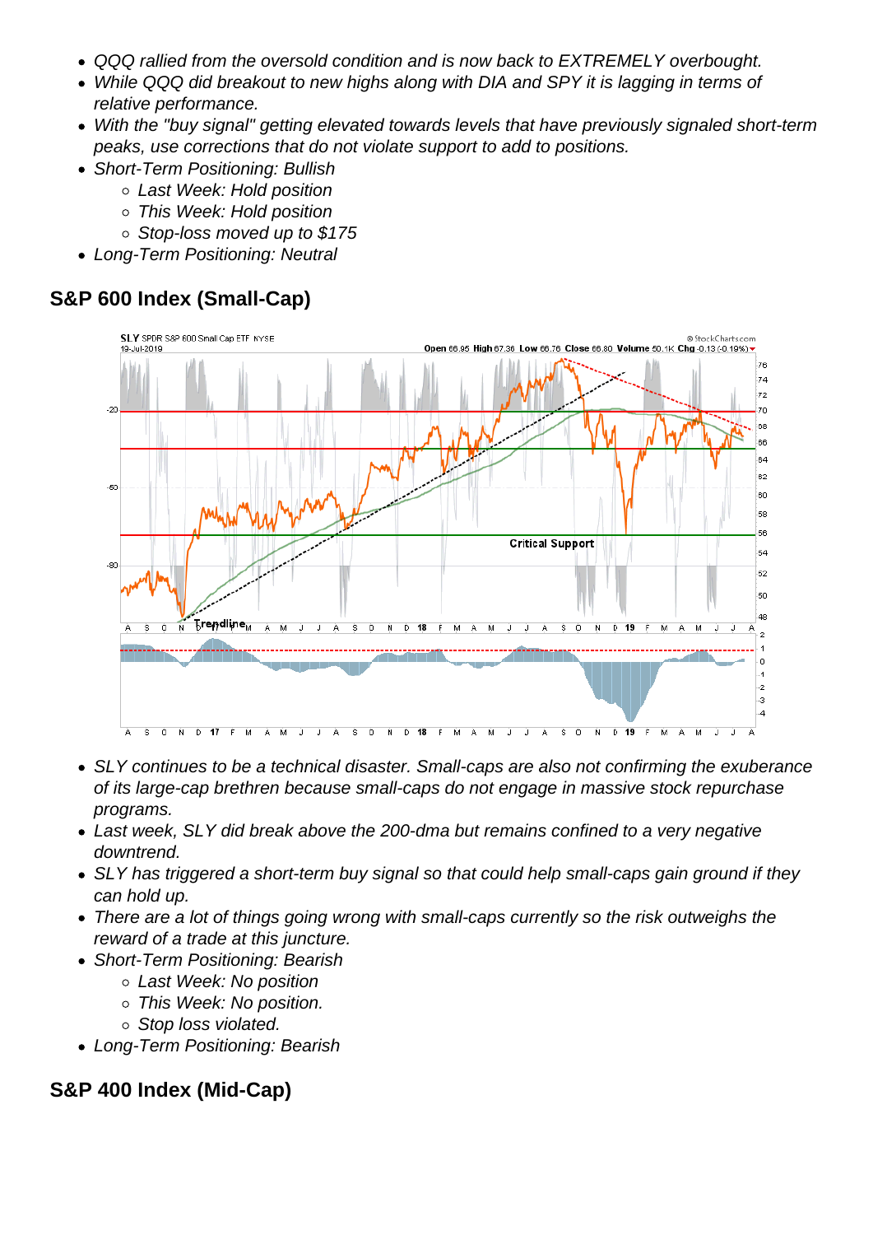- QQQ rallied from the oversold condition and is now back to EXTREMELY overbought.
- While QQQ did breakout to new highs along with DIA and SPY it is lagging in terms of relative performance.
- With the "buy signal" getting elevated towards levels that have previously signaled short-term peaks, use corrections that do not violate support to add to positions.
- Short-Term Positioning: Bullish
	- Last Week: Hold position
	- This Week: Hold position
	- Stop-loss moved up to \$175
- Long-Term Positioning: Neutral

S&P 600 Index (Small-Cap)

- SLY continues to be a technical disaster. Small-caps are also not confirming the exuberance of its large-cap brethren because small-caps do not engage in massive stock repurchase programs.
- Last week, SLY did break above the 200-dma but remains confined to a very negative downtrend.
- SLY has triggered a short-term buy signal so that could help small-caps gain ground if they can hold up.
- There are a lot of things going wrong with small-caps currently so the risk outweighs the reward of a trade at this juncture.
- Short-Term Positioning: Bearish
	- Last Week: No position
	- This Week: No position.
	- o Stop loss violated.
- Long-Term Positioning: Bearish

S&P 400 Index (Mid-Cap)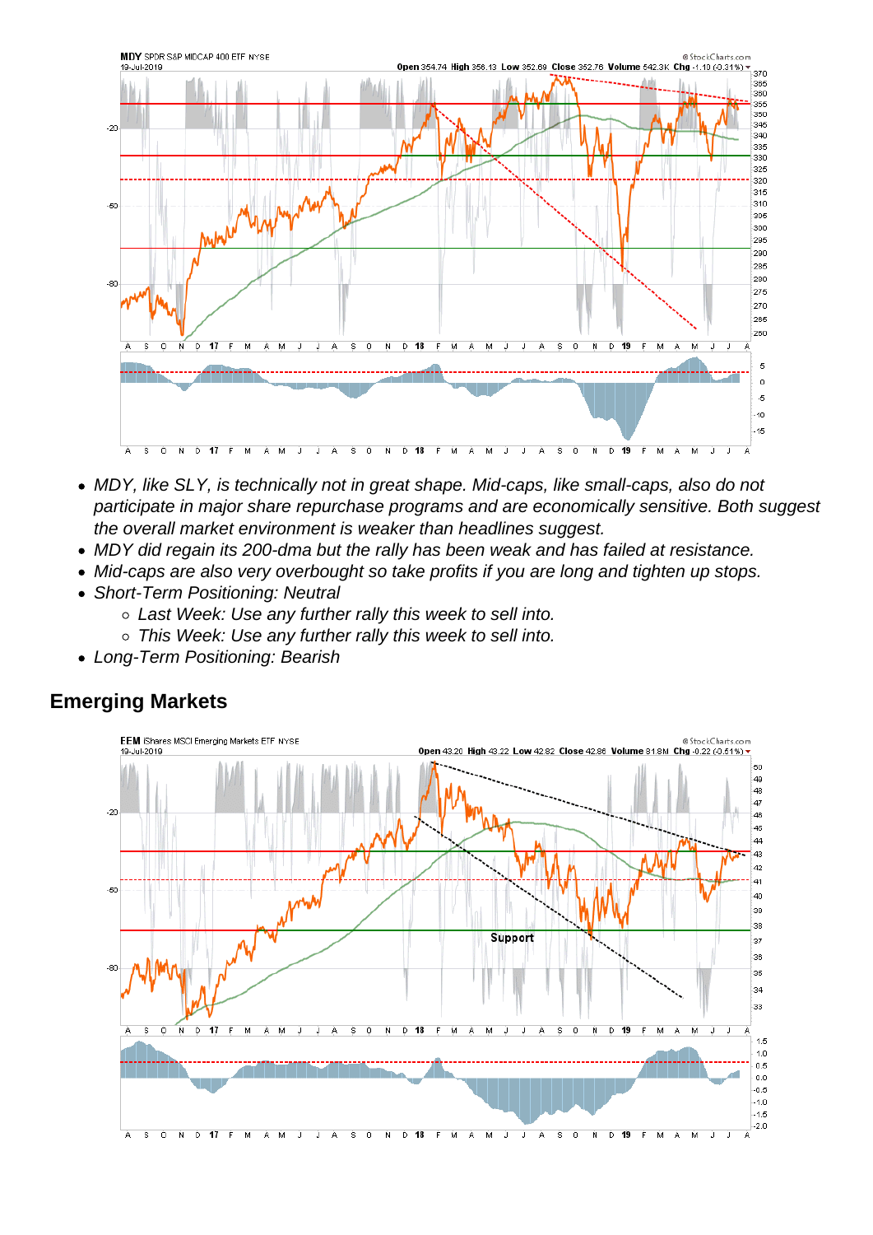- MDY, like SLY, is technically not in great shape. Mid-caps, like small-caps, also do not participate in major share repurchase programs and are economically sensitive. Both suggest the overall market environment is weaker than headlines suggest.
- MDY did regain its 200-dma but the rally has been weak and has failed at resistance.
- Mid-caps are also very overbought so take profits if you are long and tighten up stops.
- Short-Term Positioning: Neutral
	- o Last Week: Use any further rally this week to sell into.
	- This Week: Use any further rally this week to sell into.
- Long-Term Positioning: Bearish

Emerging Markets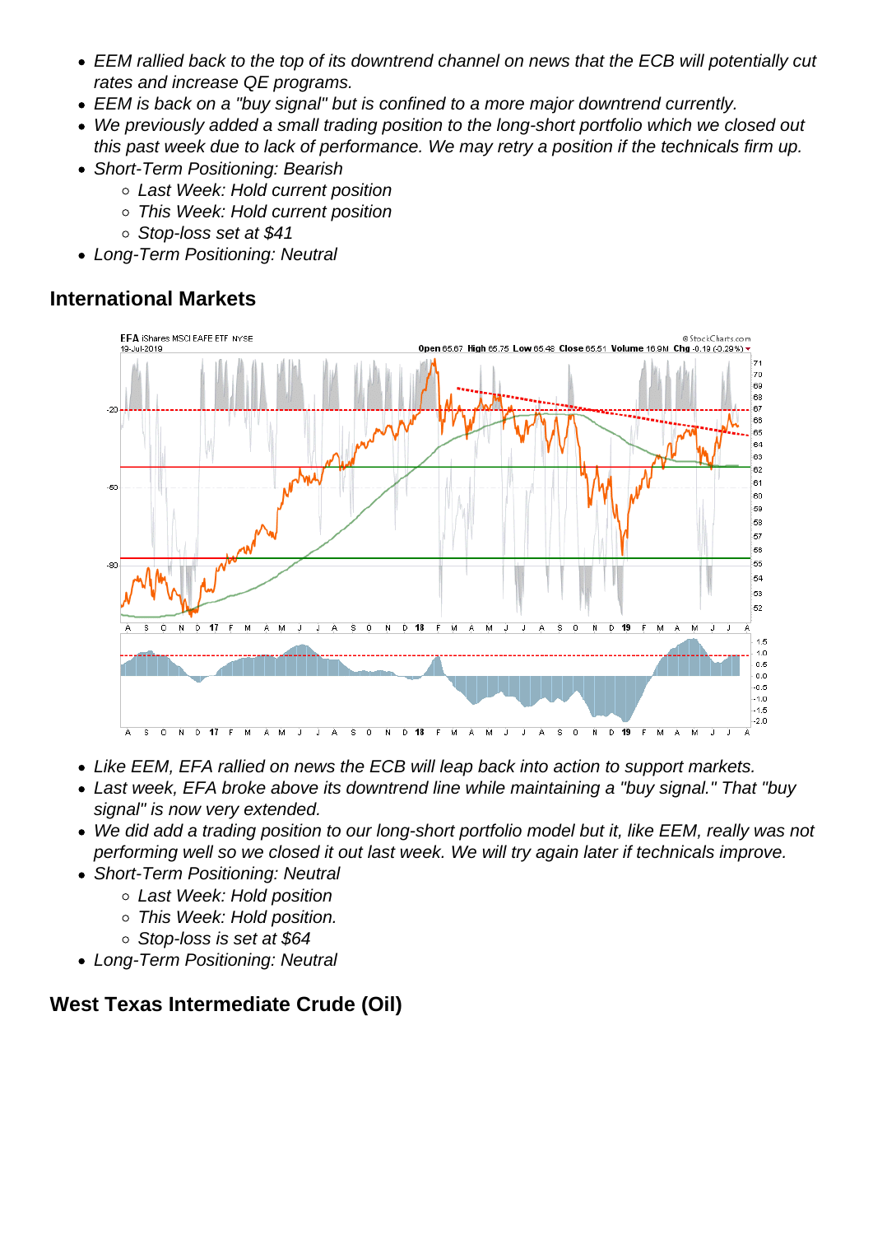- EEM rallied back to the top of its downtrend channel on news that the ECB will potentially cut rates and increase QE programs.
- EEM is back on a "buy signal" but is confined to a more major downtrend currently.
- We previously added a small trading position to the long-short portfolio which we closed out this past week due to lack of performance. We may retry a position if the technicals firm up.
- Short-Term Positioning: Bearish
	- Last Week: Hold current position
	- This Week: Hold current position
	- Stop-loss set at \$41
- Long-Term Positioning: Neutral

## International Markets

- Like EEM, EFA rallied on news the ECB will leap back into action to support markets.
- Last week, EFA broke above its downtrend line while maintaining a "buy signal." That "buy signal" is now very extended.
- We did add a trading position to our long-short portfolio model but it, like EEM, really was not performing well so we closed it out last week. We will try again later if technicals improve.
- Short-Term Positioning: Neutral
	- Last Week: Hold position
	- This Week: Hold position.
	- Stop-loss is set at \$64
- Long-Term Positioning: Neutral

West Texas Intermediate Crude (Oil)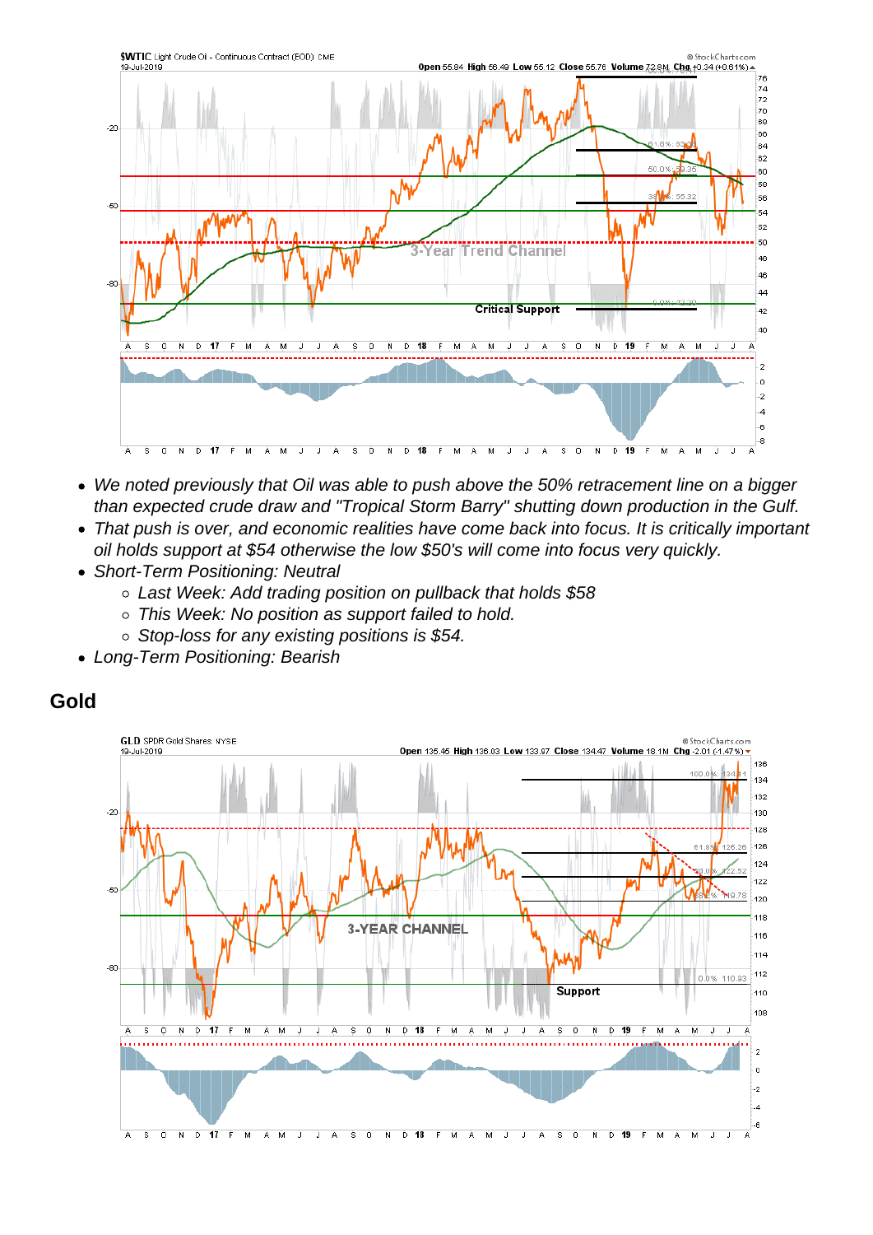- We noted previously that Oil was able to push above the 50% retracement line on a bigger than expected crude draw and "Tropical Storm Barry" shutting down production in the Gulf.
- That push is over, and economic realities have come back into focus. It is critically important oil holds support at \$54 otherwise the low \$50's will come into focus very quickly.
- Short-Term Positioning: Neutral
	- Last Week: Add trading position on pullback that holds \$58
	- This Week: No position as support failed to hold.
	- $\circ$  Stop-loss for any existing positions is \$54.
- Long-Term Positioning: Bearish

Gold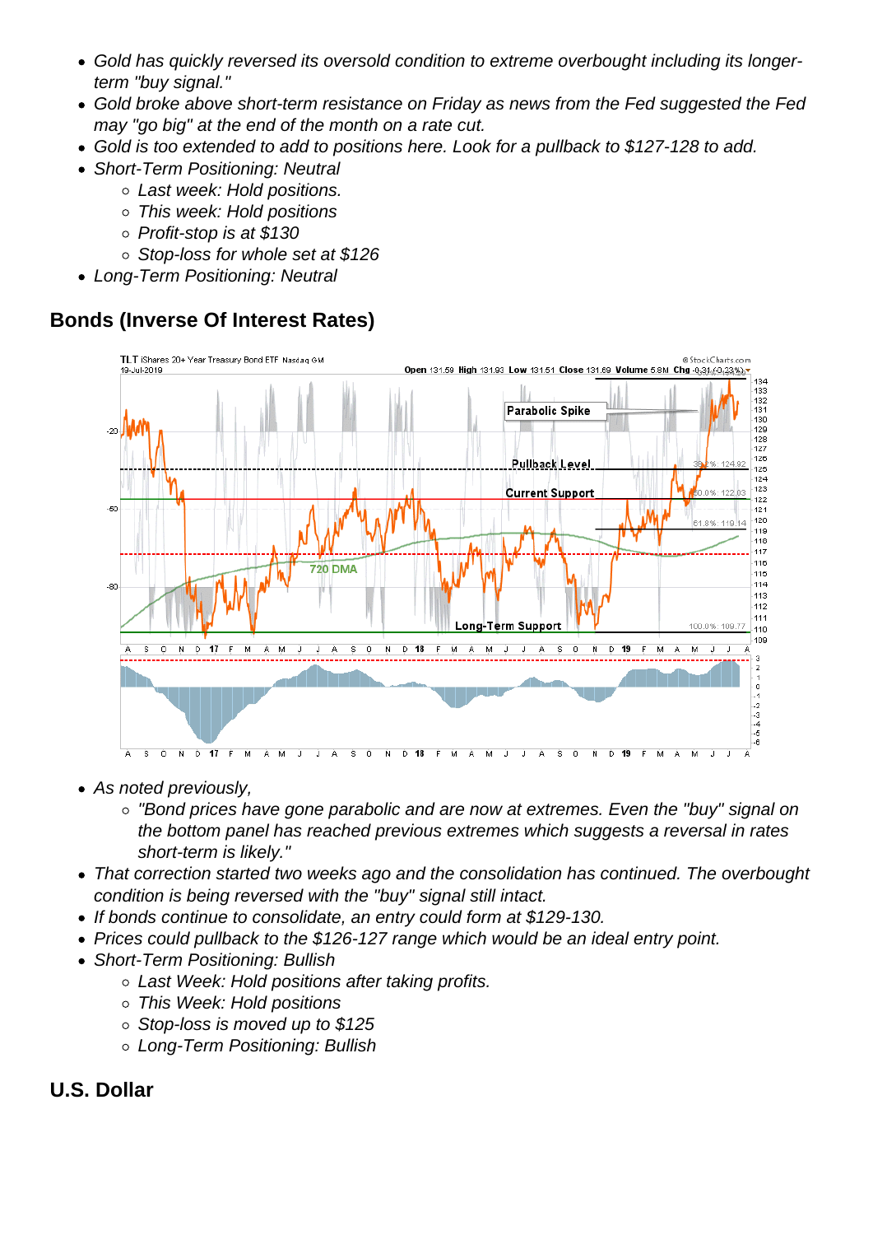- Gold has quickly reversed its oversold condition to extreme overbought including its longerterm "buy signal."
- Gold broke above short-term resistance on Friday as news from the Fed suggested the Fed may "go big" at the end of the month on a rate cut.
- Gold is too extended to add to positions here. Look for a pullback to \$127-128 to add.
- Short-Term Positioning: Neutral
	- Last week: Hold positions.
	- This week: Hold positions
	- Profit-stop is at \$130
	- Stop-loss for whole set at \$126
- Long-Term Positioning: Neutral

Bonds (Inverse Of Interest Rates)

- As noted previously,
	- "Bond prices have gone parabolic and are now at extremes. Even the "buy" signal on the bottom panel has reached previous extremes which suggests a reversal in rates short-term is likely."
- That correction started two weeks ago and the consolidation has continued. The overbought condition is being reversed with the "buy" signal still intact.
- If bonds continue to consolidate, an entry could form at \$129-130.
- Prices could pullback to the \$126-127 range which would be an ideal entry point.
- Short-Term Positioning: Bullish
	- Last Week: Hold positions after taking profits.
	- This Week: Hold positions
	- $\circ$  Stop-loss is moved up to \$125
	- Long-Term Positioning: Bullish
- U.S. Dollar